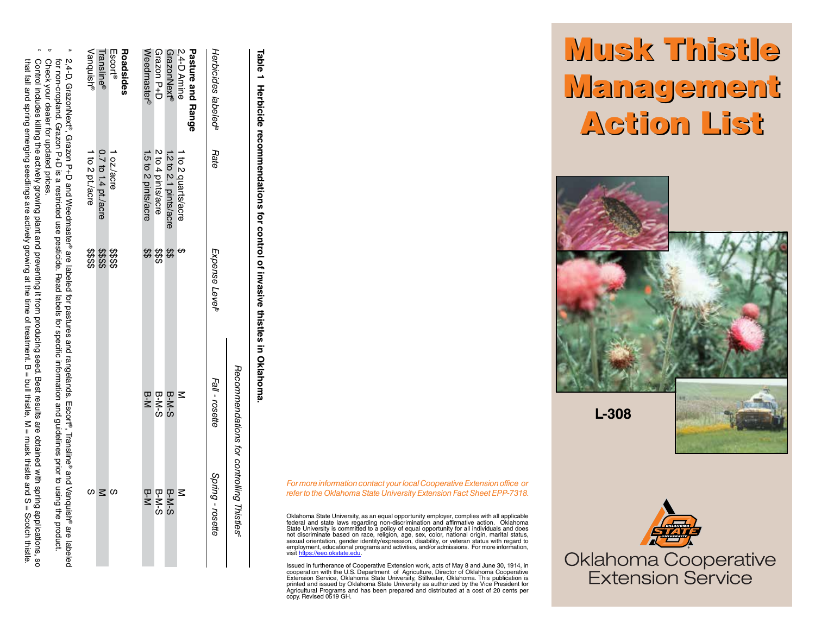## Musk Thistle Musk Thistle Management Management Action List Action List



**L-308**





Table 1 **Table 1 Herbicide recommendations for control of invasive thistles in Oklahoma.**  Herbicide recommendations for control of invasive thistles in Oklahoma

> *For more information contact your local Cooperative Extension office or refer to the Oklahoma State University Extension Fact Sheet EPP-7318.*

Oklahoma State University, as an equal opportunity employer, complies with all applicable federal and state laws regarding non-discrimination and affirmative action. Oklahoma State University is committed to a policy of equal opportunity for all individuals and does not discriminate based on race, religion, age, sex, color, national origin, marital status, sexual orientation, gender identity/expression, disability, or veteran status with regard to employment, educational programs and activities, and/or admissions. For more information, visit https://eeo.okstate.edu ttns://eeo.okstate.ed .

Issued in furtherance of Cooperative Extension work, acts of May 8 and June 30, 1914, in<br>cooperation with the U.S. Department of Agriculture, Director of Oklahoma Cooperative<br>Extension Service, Oklahoma State University, S

|                                 |                       |                                  | Recommendations for controlling Thistles <sup>e</sup> |                  |
|---------------------------------|-----------------------|----------------------------------|-------------------------------------------------------|------------------|
| Herbicides labeled <sup>a</sup> | Rate                  | Expense Level <sup>p</sup>       | Fall - rosette                                        | Spring - rosette |
| Pasture and Range               |                       |                                  |                                                       |                  |
| 2,4-D Amine                     | 1 to 2 quarts/acre    |                                  | $\leq$                                                | $\leq$           |
| GrazonNext®                     | 1.2 to 2.1 pints/acre | \$\$                             | B-M-S                                                 | B-M-S            |
| Grazon P+D                      | 2 to 4 pints/acre     | \$\$\$                           | $B-N-S$                                               | $B-N-S$          |
| Weedmaster®                     | 1.5 to 2 pints/acre   | \$\$                             | <b>B-N</b>                                            | B-M              |
| Roadsides                       |                       |                                  |                                                       |                  |
| Escort <sup>®</sup>             | 1 oz./acre            |                                  |                                                       | cn               |
| Transline®                      | 0.7 to 1.4 pt./acre   | \$\$\$\$<br>\$\$\$\$<br>\$\$\$\$ |                                                       |                  |
| Vanquish®                       | 1 to 2 pt./acre       |                                  |                                                       |                  |
|                                 |                       |                                  |                                                       |                  |

a

2,4-D, GrazonNext®, Grazon P+D and Weedmaster® are labeled

თ.

a restricted use

pesticide.

Read<br>
Bead

labels

for specific

information

and guidelines

erior to

**Duisn**  $\overline{5}$ 

product.

b

Check your dealer for updated prices.

for non-cropland. Grazon P+D

Check your dealer for updated prices<br>Control includes killing the actively gn

**Guiwal** 

preventing it

: from

that fall and spring emerging seedlings are

2,4-D, GrazonNext®, Grazon P+D and Weedmaster® are labeled for pastures and rangelands. Escort®, Transline® and Vanquish® are labeled for non-cropland. Grazon P+D is a restricted use pesticide. Read labels for specific information and guidelines prior to using the product.

for pastures and rangelands.

Escort<sup>®</sup>, Transline<sup>®</sup> and Vanquish<sup>®</sup> are labeled

that fall and spring emerging seedlings are actively growing at the time of treatment. B = bull thistle, M = musk thistle are actively growing are actively are actively are actively are actively are actively are actively a Control includes killing the actively growing plant and preventing it from producing seed. Best results are obtained with spring applications, so

of treatment. producing seed.

 $\varpi$  $\mathbf{H}$ 

 $\leq$ are

obtained with spring applications, sc<br>musk thistle and S = Scotch thistle.

9S

Best results bull thistle,

the time

actively growing at plant and